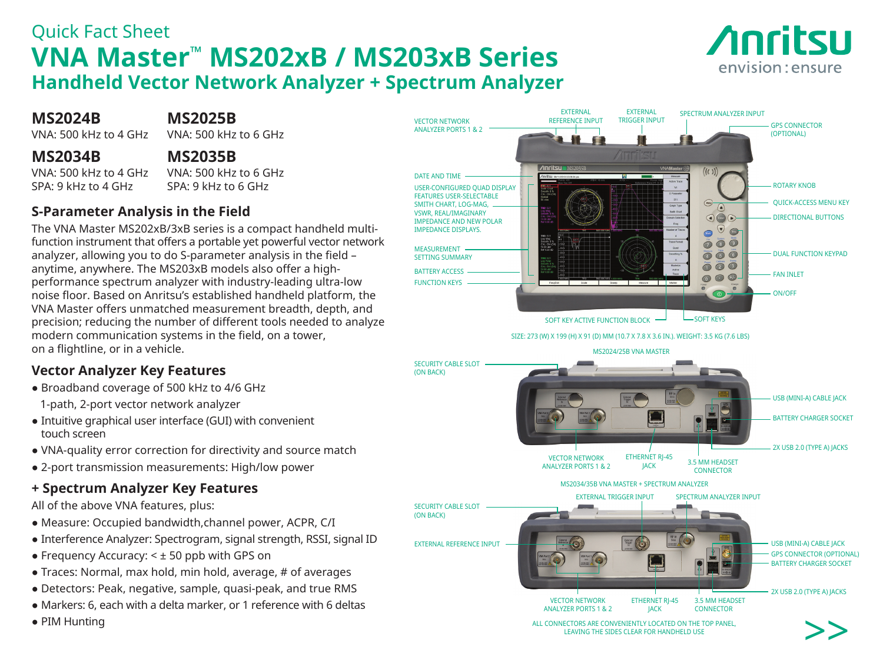# Quick Fact Sheet **VNA Master™ MS202xB / MS203xB Series Handheld Vector Network Analyzer + Spectrum Analyzer**



**MS2024B MS2025B**<br>VNA: 500 kHz to 4 GHz VNA: 500 kHz to 6 GHz

VNA:  $500$  kHz to 4 GHz

#### **MS2034B MS2035B**

 $SDA \cdot Q$  kHz to 4 GHz  $SPA \cdot Q$  kHz to 6 GHz

# VNA: 500 kHz to 4 GHz VNA: 500 kHz to 6 GHz

#### **S-Parameter Analysis in the Field**

The VNA Master MS202xB/3xB series is a compact handheld multifunction instrument that offers a portable yet powerful vector network analyzer, allowing you to do S-parameter analysis in the field – anytime, anywhere. The MS203xB models also offer a highperformance spectrum analyzer with industry-leading ultra-low noise floor. Based on Anritsu's established handheld platform, the VNA Master offers unmatched measurement breadth, depth, and precision; reducing the number of different tools needed to analyze modern communication systems in the field, on a tower, on a flightline, or in a vehicle.

### **Vector Analyzer Key Features**

- Broadband coverage of 500 kHz to 4/6 GHz
- 1-path, 2-port vector network analyzer
- Intuitive graphical user interface (GUI) with convenient touch screen
- VNA-quality error correction for directivity and source match
- 2-port transmission measurements: High/low power

### **+ Spectrum Analyzer Key Features**

All of the above VNA features, plus:

- Measure: Occupied bandwidth,channel power, ACPR, C/I
- Interference Analyzer: Spectrogram, signal strength, RSSI, signal ID
- $\bullet$  Frequency Accuracy:  $\leq \pm 50$  ppb with GPS on
- Traces: Normal, max hold, min hold, average, # of averages
- Detectors: Peak, negative, sample, quasi-peak, and true RMS
- Markers: 6, each with a delta marker, or 1 reference with 6 deltas
- PIM Hunting



ALL CONNECTORS ARE CONVENIENTLY LOCATED ON THE TOP PANEL LEAVING THE SIDES CLEAR FOR HANDHELD USE